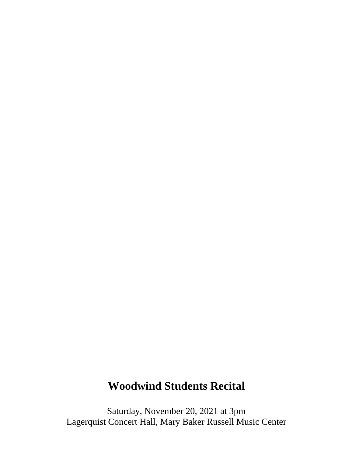## **Woodwind Students Recital**

Saturday, November 20, 2021 at 3pm Lagerquist Concert Hall, Mary Baker Russell Music Center